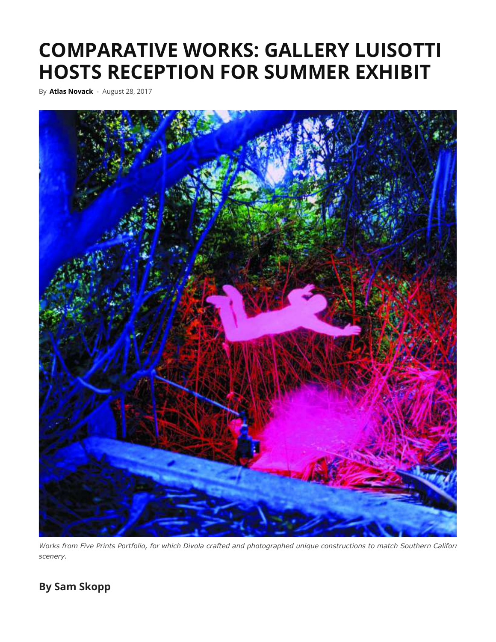## **COMPARATIVE WORKS: GALLERY LUISOTTI HOSTS RECEPTION FOR SUMMER EXHIBIT**

By **Atlas Novack** - August 28, 2017



*Works from Five Prints Portfolio, for which Divola crafted and photographed unique constructions to match Southern Californi scenery.*

## **By Sam Skopp**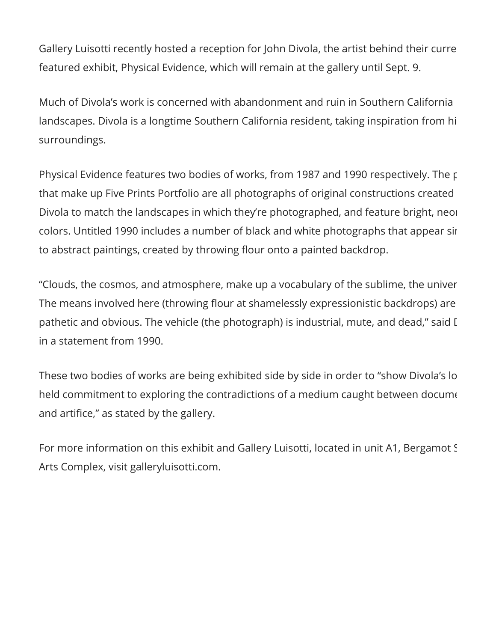Gallery Luisotti recently hosted a reception for John Divola, the artist behind their curren featured exhibit, Physical Evidence, which will remain at the gallery until Sept. 9.

Much of Divola's work is concerned with abandonment and ruin in Southern California landscapes. Divola is a longtime Southern California resident, taking inspiration from hi surroundings.

Physical Evidence features two bodies of works, from 1987 and 1990 respectively. The pie that make up Five Prints Portfolio are all photographs of original constructions created b Divola to match the landscapes in which they're photographed, and feature bright, neon colors. Untitled 1990 includes a number of black and white photographs that appear sim to abstract paintings, created by throwing flour onto a painted backdrop.

"Clouds, the cosmos, and atmosphere, make up a vocabulary of the sublime, the univer The means involved here (throwing flour at shamelessly expressionistic backdrops) are pathetic and obvious. The vehicle (the photograph) is industrial, mute, and dead," said I in a statement from 1990.

These two bodies of works are being exhibited side by side in order to "show Divola's lon held commitment to exploring the contradictions of a medium caught between docume and artifice," as stated by the gallery.

For more information on this exhibit and Gallery Luisotti, located in unit A1, Bergamot St Arts Complex, visit galleryluisotti.com.